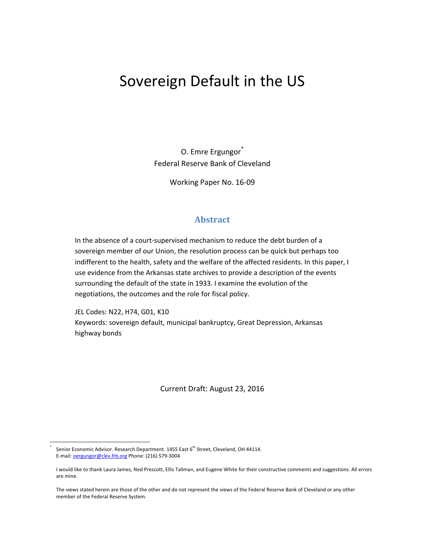# Sovereign Default in the US

O. Emre Ergungor<sup>\*</sup> Federal Reserve Bank of Cleveland

Working Paper No. 16‐09

### **Abstract**

In the absence of a court‐supervised mechanism to reduce the debt burden of a sovereign member of our Union, the resolution process can be quick but perhaps too indifferent to the health, safety and the welfare of the affected residents. In this paper, I use evidence from the Arkansas state archives to provide a description of the events surrounding the default of the state in 1933. I examine the evolution of the negotiations, the outcomes and the role for fiscal policy.

JEL Codes: N22, H74, G01, K10 Keywords: sovereign default, municipal bankruptcy, Great Depression, Arkansas highway bonds

Current Draft: August 23, 2016

\*

 Senior Economic Advisor. Research Department. 1455 East 6<sup>th</sup> Street, Cleveland, OH 44114. E‐mail: oergungor@clev.frb.org Phone: (216) 579‐3004

I would like to thank Laura James, Ned Prescott, Ellis Tallman, and Eugene White for their constructive comments and suggestions. All errors are mine.

The views stated herein are those of the other and do not represent the views of the Federal Reserve Bank of Cleveland or any other member of the Federal Reserve System.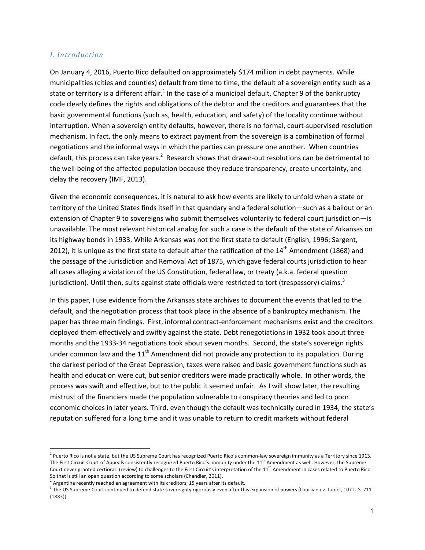## *I. Introduction*

On January 4, 2016, Puerto Rico defaulted on approximately \$174 million in debt payments. While municipalities (cities and counties) default from time to time, the default of a sovereign entity such as a state or territory is a different affair.<sup>1</sup> In the case of a municipal default, Chapter 9 of the bankruptcy code clearly defines the rights and obligations of the debtor and the creditors and guarantees that the basic governmental functions (such as, health, education, and safety) of the locality continue without interruption. When a sovereign entity defaults, however, there is no formal, court-supervised resolution mechanism. In fact, the only means to extract payment from the sovereign is a combination of formal negotiations and the informal ways in which the parties can pressure one another. When countries default, this process can take years.<sup>2</sup> Research shows that drawn-out resolutions can be detrimental to the well‐being of the affected population because they reduce transparency, create uncertainty, and delay the recovery (IMF, 2013).

Given the economic consequences, it is natural to ask how events are likely to unfold when a state or territory of the United States finds itself in that quandary and a federal solution—such as a bailout or an extension of Chapter 9 to sovereigns who submit themselves voluntarily to federal court jurisdiction—is unavailable. The most relevant historical analog for such a case is the default of the state of Arkansas on its highway bonds in 1933. While Arkansas was not the first state to default (English, 1996; Sargent, 2012), it is unique as the first state to default after the ratification of the  $14<sup>th</sup>$  Amendment (1868) and the passage of the Jurisdiction and Removal Act of 1875, which gave federal courts jurisdiction to hear all cases alleging a violation of the US Constitution, federal law, or treaty (a.k.a. federal question jurisdiction). Until then, suits against state officials were restricted to tort (trespassory) claims.<sup>3</sup>

In this paper, I use evidence from the Arkansas state archives to document the events that led to the default, and the negotiation process that took place in the absence of a bankruptcy mechanism. The paper has three main findings. First, informal contract‐enforcement mechanisms exist and the creditors deployed them effectively and swiftly against the state. Debt renegotiations in 1932 took about three months and the 1933‐34 negotiations took about seven months. Second, the state's sovereign rights under common law and the 11<sup>th</sup> Amendment did not provide any protection to its population. During the darkest period of the Great Depression, taxes were raised and basic government functions such as health and education were cut, but senior creditors were made practically whole. In other words, the process was swift and effective, but to the public it seemed unfair. As I will show later, the resulting mistrust of the financiers made the population vulnerable to conspiracy theories and led to poor economic choices in later years. Third, even though the default was technically cured in 1934, the state's reputation suffered for a long time and it was unable to return to credit markets without federal

 $1$  Puerto Rico is not a state, but the US Supreme Court has recognized Puerto Rico's common-law sovereign immunity as a Territory since 1913. The First Circuit Court of Appeals consistently recognized Puerto Rico's immunity under the 11<sup>th</sup> Amendment as well. However, the Supreme Court never granted certiorari (review) to challenges to the First Circuit's interpretation of the 11<sup>th</sup> Amendment in cases related to Puerto Rico.

So that is still an open question according to some scholars (Chandler, 2011).<br><sup>2</sup> Argentina recently reached an agreement with its creditors, 15 years after its default.

<sup>&</sup>lt;sup>3</sup> The US Supreme Court continued to defend state sovereignty rigorously even after this expansion of powers (Louisiana v. Jumel, 107 U.S. 711 (1883)).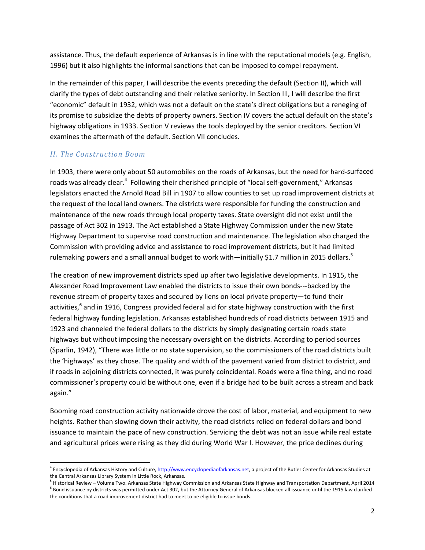assistance. Thus, the default experience of Arkansas is in line with the reputational models (e.g. English, 1996) but it also highlights the informal sanctions that can be imposed to compel repayment.

In the remainder of this paper, I will describe the events preceding the default (Section II), which will clarify the types of debt outstanding and their relative seniority. In Section III, I will describe the first "economic" default in 1932, which was not a default on the state's direct obligations but a reneging of its promise to subsidize the debts of property owners. Section IV covers the actual default on the state's highway obligations in 1933. Section V reviews the tools deployed by the senior creditors. Section VI examines the aftermath of the default. Section VII concludes.

## *II. The Construction Boom*

In 1903, there were only about 50 automobiles on the roads of Arkansas, but the need for hard-surfaced roads was already clear.<sup>4</sup> Following their cherished principle of "local self-government," Arkansas legislators enacted the Arnold Road Bill in 1907 to allow counties to set up road improvement districts at the request of the local land owners. The districts were responsible for funding the construction and maintenance of the new roads through local property taxes. State oversight did not exist until the passage of Act 302 in 1913. The Act established a State Highway Commission under the new State Highway Department to supervise road construction and maintenance. The legislation also charged the Commission with providing advice and assistance to road improvement districts, but it had limited rulemaking powers and a small annual budget to work with—initially \$1.7 million in 2015 dollars.<sup>5</sup>

The creation of new improvement districts sped up after two legislative developments. In 1915, the Alexander Road Improvement Law enabled the districts to issue their own bonds‐‐‐backed by the revenue stream of property taxes and secured by liens on local private property—to fund their activities,<sup>6</sup> and in 1916, Congress provided federal aid for state highway construction with the first federal highway funding legislation. Arkansas established hundreds of road districts between 1915 and 1923 and channeled the federal dollars to the districts by simply designating certain roads state highways but without imposing the necessary oversight on the districts. According to period sources (Sparlin, 1942), "There was little or no state supervision, so the commissioners of the road districts built the 'highways' as they chose. The quality and width of the pavement varied from district to district, and if roads in adjoining districts connected, it was purely coincidental. Roads were a fine thing, and no road commissioner's property could be without one, even if a bridge had to be built across a stream and back again."

Booming road construction activity nationwide drove the cost of labor, material, and equipment to new heights. Rather than slowing down their activity, the road districts relied on federal dollars and bond issuance to maintain the pace of new construction. Servicing the debt was not an issue while real estate and agricultural prices were rising as they did during World War I. However, the price declines during

<sup>&</sup>lt;sup>4</sup> Encyclopedia of Arkansas History and Culture, http://www.encyclopediaofarkansas.net, a project of the Butler Center for Arkansas Studies at the Central Arkansas Library System in Little Rock, Arkansas.

<sup>&</sup>lt;sup>5</sup> Historical Review – Volume Two. Arkansas State Highway Commission and Arkansas State Highway and Transportation Department, April 2014<br><sup>6</sup> Bond issuance by districts was permitted under Act 302, but the Attorney Genera the conditions that a road improvement district had to meet to be eligible to issue bonds.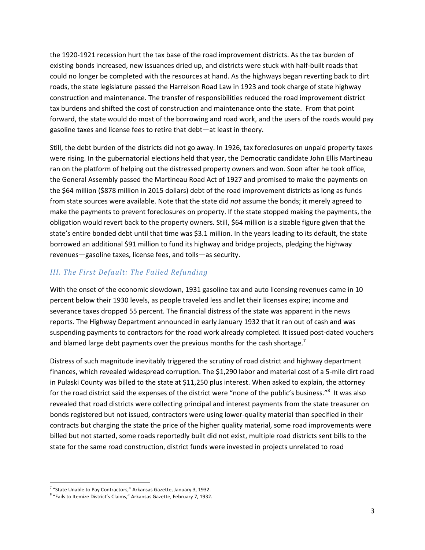the 1920‐1921 recession hurt the tax base of the road improvement districts. As the tax burden of existing bonds increased, new issuances dried up, and districts were stuck with half‐built roads that could no longer be completed with the resources at hand. As the highways began reverting back to dirt roads, the state legislature passed the Harrelson Road Law in 1923 and took charge of state highway construction and maintenance. The transfer of responsibilities reduced the road improvement district tax burdens and shifted the cost of construction and maintenance onto the state. From that point forward, the state would do most of the borrowing and road work, and the users of the roads would pay gasoline taxes and license fees to retire that debt—at least in theory.

Still, the debt burden of the districts did not go away. In 1926, tax foreclosures on unpaid property taxes were rising. In the gubernatorial elections held that year, the Democratic candidate John Ellis Martineau ran on the platform of helping out the distressed property owners and won. Soon after he took office, the General Assembly passed the Martineau Road Act of 1927 and promised to make the payments on the \$64 million (\$878 million in 2015 dollars) debt of the road improvement districts as long as funds from state sources were available. Note that the state did *not* assume the bonds; it merely agreed to make the payments to prevent foreclosures on property. If the state stopped making the payments, the obligation would revert back to the property owners. Still, \$64 million is a sizable figure given that the state's entire bonded debt until that time was \$3.1 million. In the years leading to its default, the state borrowed an additional \$91 million to fund its highway and bridge projects, pledging the highway revenues—gasoline taxes, license fees, and tolls—as security.

## *III. The First Default: The Failed Refunding*

With the onset of the economic slowdown, 1931 gasoline tax and auto licensing revenues came in 10 percent below their 1930 levels, as people traveled less and let their licenses expire; income and severance taxes dropped 55 percent. The financial distress of the state was apparent in the news reports. The Highway Department announced in early January 1932 that it ran out of cash and was suspending payments to contractors for the road work already completed. It issued post-dated vouchers and blamed large debt payments over the previous months for the cash shortage.<sup>7</sup>

Distress of such magnitude inevitably triggered the scrutiny of road district and highway department finances, which revealed widespread corruption. The \$1,290 labor and material cost of a 5-mile dirt road in Pulaski County was billed to the state at \$11,250 plus interest. When asked to explain, the attorney for the road district said the expenses of the district were "none of the public's business."<sup>8</sup> It was also revealed that road districts were collecting principal and interest payments from the state treasurer on bonds registered but not issued, contractors were using lower-quality material than specified in their contracts but charging the state the price of the higher quality material, some road improvements were billed but not started, some roads reportedly built did not exist, multiple road districts sent bills to the state for the same road construction, district funds were invested in projects unrelated to road

 $7$  "State Unable to Pay Contractors," Arkansas Gazette, January 3, 1932.

<sup>8</sup> "Fails to Itemize District's Claims," Arkansas Gazette, February 7, 1932.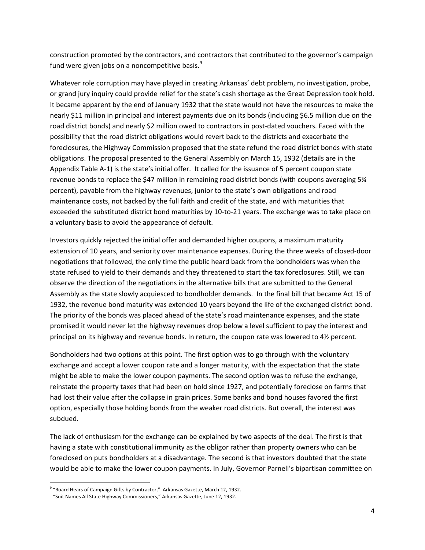construction promoted by the contractors, and contractors that contributed to the governor's campaign fund were given jobs on a noncompetitive basis.<sup>9</sup>

Whatever role corruption may have played in creating Arkansas' debt problem, no investigation, probe, or grand jury inquiry could provide relief for the state's cash shortage as the Great Depression took hold. It became apparent by the end of January 1932 that the state would not have the resources to make the nearly \$11 million in principal and interest payments due on its bonds (including \$6.5 million due on the road district bonds) and nearly \$2 million owed to contractors in post-dated vouchers. Faced with the possibility that the road district obligations would revert back to the districts and exacerbate the foreclosures, the Highway Commission proposed that the state refund the road district bonds with state obligations. The proposal presented to the General Assembly on March 15, 1932 (details are in the Appendix Table A‐1) is the state's initial offer. It called for the issuance of 5 percent coupon state revenue bonds to replace the \$47 million in remaining road district bonds (with coupons averaging 5¾ percent), payable from the highway revenues, junior to the state's own obligations and road maintenance costs, not backed by the full faith and credit of the state, and with maturities that exceeded the substituted district bond maturities by 10-to-21 years. The exchange was to take place on a voluntary basis to avoid the appearance of default.

Investors quickly rejected the initial offer and demanded higher coupons, a maximum maturity extension of 10 years, and seniority over maintenance expenses. During the three weeks of closed‐door negotiations that followed, the only time the public heard back from the bondholders was when the state refused to yield to their demands and they threatened to start the tax foreclosures. Still, we can observe the direction of the negotiations in the alternative bills that are submitted to the General Assembly as the state slowly acquiesced to bondholder demands. In the final bill that became Act 15 of 1932, the revenue bond maturity was extended 10 years beyond the life of the exchanged district bond. The priority of the bonds was placed ahead of the state's road maintenance expenses, and the state promised it would never let the highway revenues drop below a level sufficient to pay the interest and principal on its highway and revenue bonds. In return, the coupon rate was lowered to 4½ percent.

Bondholders had two options at this point. The first option was to go through with the voluntary exchange and accept a lower coupon rate and a longer maturity, with the expectation that the state might be able to make the lower coupon payments. The second option was to refuse the exchange, reinstate the property taxes that had been on hold since 1927, and potentially foreclose on farms that had lost their value after the collapse in grain prices. Some banks and bond houses favored the first option, especially those holding bonds from the weaker road districts. But overall, the interest was subdued.

The lack of enthusiasm for the exchange can be explained by two aspects of the deal. The first is that having a state with constitutional immunity as the obligor rather than property owners who can be foreclosed on puts bondholders at a disadvantage. The second is that investors doubted that the state would be able to make the lower coupon payments. In July, Governor Parnell's bipartisan committee on

  $^9$  "Board Hears of Campaign Gifts by Contractor," Arkansas Gazette, March 12, 1932. "Suit Names All State Highway Commissioners," Arkansas Gazette, June 12, 1932.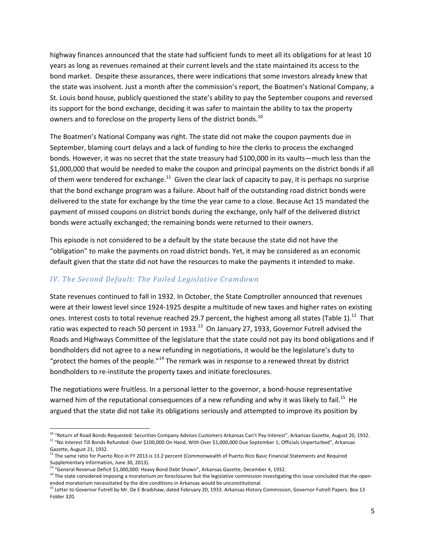highway finances announced that the state had sufficient funds to meet all its obligations for at least 10 years as long as revenues remained at their current levels and the state maintained its access to the bond market. Despite these assurances, there were indications that some investors already knew that the state was insolvent. Just a month after the commission's report, the Boatmen's National Company, a St. Louis bond house, publicly questioned the state's ability to pay the September coupons and reversed its support for the bond exchange, deciding it was safer to maintain the ability to tax the property owners and to foreclose on the property liens of the district bonds.<sup>10</sup>

The Boatmen's National Company was right. The state did not make the coupon payments due in September, blaming court delays and a lack of funding to hire the clerks to process the exchanged bonds. However, it was no secret that the state treasury had \$100,000 in its vaults—much less than the \$1,000,000 that would be needed to make the coupon and principal payments on the district bonds if all of them were tendered for exchange.<sup>11</sup> Given the clear lack of capacity to pay, it is perhaps no surprise that the bond exchange program was a failure. About half of the outstanding road district bonds were delivered to the state for exchange by the time the year came to a close. Because Act 15 mandated the payment of missed coupons on district bonds during the exchange, only half of the delivered district bonds were actually exchanged; the remaining bonds were returned to their owners.

This episode is not considered to be a default by the state because the state did not have the "obligation" to make the payments on road district bonds. Yet, it may be considered as an economic default given that the state did not have the resources to make the payments it intended to make.

## *IV. The Second Default: The Failed Legislative Cramdown*

State revenues continued to fall in 1932. In October, the State Comptroller announced that revenues were at their lowest level since 1924-1925 despite a multitude of new taxes and higher rates on existing ones. Interest costs to total revenue reached 29.7 percent, the highest among all states (Table 1).<sup>12</sup> That ratio was expected to reach 50 percent in 1933.<sup>13</sup> On January 27, 1933, Governor Futrell advised the Roads and Highways Committee of the legislature that the state could not pay its bond obligations and if bondholders did not agree to a new refunding in negotiations, it would be the legislature's duty to "protect the homes of the people."<sup>14</sup> The remark was in response to a renewed threat by district bondholders to re‐institute the property taxes and initiate foreclosures.

The negotiations were fruitless. In a personal letter to the governor, a bond‐house representative warned him of the reputational consequences of a new refunding and why it was likely to fail.<sup>15</sup> He argued that the state did not take its obligations seriously and attempted to improve its position by

<sup>&</sup>lt;sup>10</sup> "Return of Road Bonds Requested: Securities Company Advises Customers Arkansas Can't Pay Interest", Arkansas Gazette, August 20, 1932.

<sup>&</sup>lt;sup>11</sup> "No Interest Till Bonds Refunded: Over \$100,000 On Hand, With Over \$1,000,000 Due September 1; Officials Unperturbed", Arkansas Gazette, August 21, 1932.

 $12$  The same ratio for Puerto Rico in FY 2013 is 13.2 percent (Commonwealth of Puerto Rico Basic Financial Statements and Required Supplementary Information, June 30, 2013).

 $13$  "General Revenue Deficit \$1,000,000: Heavy Bond Debt Shown", Arkansas Gazette, December 4, 1932.

<sup>&</sup>lt;sup>14</sup> The state considered imposing a moratorium on foreclosures but the legislative commission investigating this issue concluded that the open-

ended moratorium necessitated by the dire conditions in Arkansas would be unconstitutional.<br><sup>15</sup> Letter to Governor Futrell by Mr. De E Bradshaw, dated February 20, 1933. Arkansas History Commission, Governor Futrell Paper Folder 320.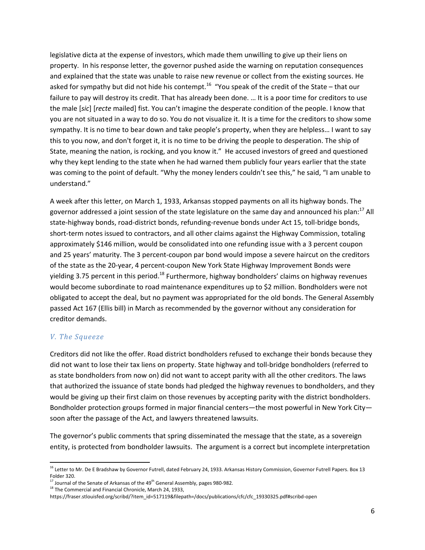legislative dicta at the expense of investors, which made them unwilling to give up their liens on property. In his response letter, the governor pushed aside the warning on reputation consequences and explained that the state was unable to raise new revenue or collect from the existing sources. He asked for sympathy but did not hide his contempt.<sup>16</sup> "You speak of the credit of the State – that our failure to pay will destroy its credit. That has already been done. … It is a poor time for creditors to use the male [*sic*] [*recte* mailed] fist. You can't imagine the desperate condition of the people. I know that you are not situated in a way to do so. You do not visualize it. It is a time for the creditors to show some sympathy. It is no time to bear down and take people's property, when they are helpless… I want to say this to you now, and don't forget it, it is no time to be driving the people to desperation. The ship of State, meaning the nation, is rocking, and you know it." He accused investors of greed and questioned why they kept lending to the state when he had warned them publicly four years earlier that the state was coming to the point of default. "Why the money lenders couldn't see this," he said, "I am unable to understand."

A week after this letter, on March 1, 1933, Arkansas stopped payments on all its highway bonds. The governor addressed a joint session of the state legislature on the same day and announced his plan:<sup>17</sup> All state-highway bonds, road-district bonds, refunding-revenue bonds under Act 15, toll-bridge bonds, short-term notes issued to contractors, and all other claims against the Highway Commission, totaling approximately \$146 million, would be consolidated into one refunding issue with a 3 percent coupon and 25 years' maturity. The 3 percent‐coupon par bond would impose a severe haircut on the creditors of the state as the 20‐year, 4 percent‐coupon New York State Highway Improvement Bonds were yielding 3.75 percent in this period.<sup>18</sup> Furthermore, highway bondholders' claims on highway revenues would become subordinate to road maintenance expenditures up to \$2 million. Bondholders were not obligated to accept the deal, but no payment was appropriated for the old bonds. The General Assembly passed Act 167 (Ellis bill) in March as recommended by the governor without any consideration for creditor demands.

### *V. The Squeeze*

Creditors did not like the offer. Road district bondholders refused to exchange their bonds because they did not want to lose their tax liens on property. State highway and toll‐bridge bondholders (referred to as state bondholders from now on) did not want to accept parity with all the other creditors. The laws that authorized the issuance of state bonds had pledged the highway revenues to bondholders, and they would be giving up their first claim on those revenues by accepting parity with the district bondholders. Bondholder protection groups formed in major financial centers—the most powerful in New York City soon after the passage of the Act, and lawyers threatened lawsuits.

The governor's public comments that spring disseminated the message that the state, as a sovereign entity, is protected from bondholder lawsuits. The argument is a correct but incomplete interpretation

<sup>&</sup>lt;sup>16</sup> Letter to Mr. De E Bradshaw by Governor Futrell, dated February 24, 1933. Arkansas History Commission, Governor Futrell Papers. Box 13 Folder 320.<br><sup>17</sup> Journal of the Senate of Arkansas of the 49<sup>th</sup> General Assembly, pages 980-982.

<sup>&</sup>lt;sup>18</sup> The Commercial and Financial Chronicle, March 24, 1933,

https://fraser.stlouisfed.org/scribd/?item\_id=517119&filepath=/docs/publications/cfc/cfc\_19330325.pdf#scribd‐open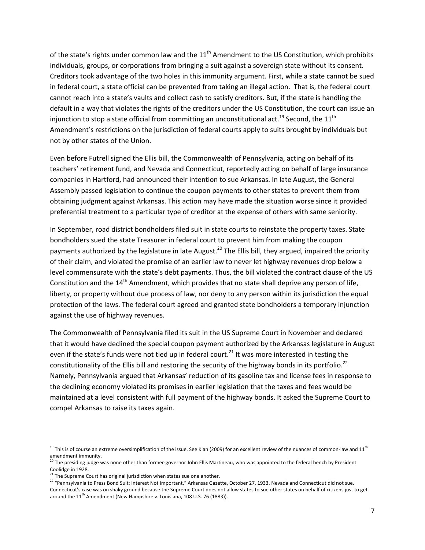of the state's rights under common law and the  $11<sup>th</sup>$  Amendment to the US Constitution, which prohibits individuals, groups, or corporations from bringing a suit against a sovereign state without its consent. Creditors took advantage of the two holes in this immunity argument. First, while a state cannot be sued in federal court, a state official can be prevented from taking an illegal action. That is, the federal court cannot reach into a state's vaults and collect cash to satisfy creditors. But, if the state is handling the default in a way that violates the rights of the creditors under the US Constitution, the court can issue an injunction to stop a state official from committing an unconstitutional act.<sup>19</sup> Second, the 11<sup>th</sup> Amendment's restrictions on the jurisdiction of federal courts apply to suits brought by individuals but not by other states of the Union.

Even before Futrell signed the Ellis bill, the Commonwealth of Pennsylvania, acting on behalf of its teachers' retirement fund, and Nevada and Connecticut, reportedly acting on behalf of large insurance companies in Hartford, had announced their intention to sue Arkansas. In late August, the General Assembly passed legislation to continue the coupon payments to other states to prevent them from obtaining judgment against Arkansas. This action may have made the situation worse since it provided preferential treatment to a particular type of creditor at the expense of others with same seniority.

In September, road district bondholders filed suit in state courts to reinstate the property taxes. State bondholders sued the state Treasurer in federal court to prevent him from making the coupon payments authorized by the legislature in late August.<sup>20</sup> The Ellis bill, they argued, impaired the priority of their claim, and violated the promise of an earlier law to never let highway revenues drop below a level commensurate with the state's debt payments. Thus, the bill violated the contract clause of the US Constitution and the  $14<sup>th</sup>$  Amendment, which provides that no state shall deprive any person of life, liberty, or property without due process of law, nor deny to any person within its jurisdiction the equal protection of the laws. The federal court agreed and granted state bondholders a temporary injunction against the use of highway revenues.

The Commonwealth of Pennsylvania filed its suit in the US Supreme Court in November and declared that it would have declined the special coupon payment authorized by the Arkansas legislature in August even if the state's funds were not tied up in federal court.<sup>21</sup> It was more interested in testing the constitutionality of the Ellis bill and restoring the security of the highway bonds in its portfolio.<sup>22</sup> Namely, Pennsylvania argued that Arkansas' reduction of its gasoline tax and license fees in response to the declining economy violated its promises in earlier legislation that the taxes and fees would be maintained at a level consistent with full payment of the highway bonds. It asked the Supreme Court to compel Arkansas to raise its taxes again.

<sup>&</sup>lt;sup>19</sup> This is of course an extreme oversimplification of the issue. See Kian (2009) for an excellent review of the nuances of common-law and 11<sup>th</sup> amendment immunity.<br><sup>20</sup> The presiding judge was none other than former‐governor John Ellis Martineau, who was appointed to the federal bench by President

Coolidge in 1928.

 $21$  The Supreme Court has original jurisdiction when states sue one another.

<sup>&</sup>lt;sup>22</sup> "Pennsylvania to Press Bond Suit: Interest Not Important," Arkansas Gazette, October 27, 1933. Nevada and Connecticut did not sue. Connecticut's case was on shaky ground because the Supreme Court does not allow states to sue other states on behalf of citizens just to get around the  $11<sup>th</sup>$  Amendment (New Hampshire v. Louisiana, 108 U.S. 76 (1883)).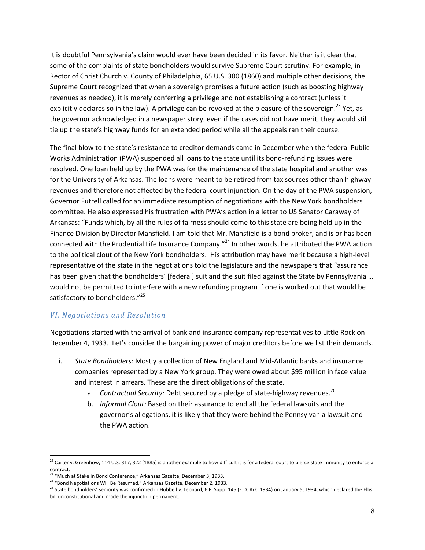It is doubtful Pennsylvania's claim would ever have been decided in its favor. Neither is it clear that some of the complaints of state bondholders would survive Supreme Court scrutiny. For example, in Rector of Christ Church v. County of Philadelphia, 65 U.S. 300 (1860) and multiple other decisions, the Supreme Court recognized that when a sovereign promises a future action (such as boosting highway revenues as needed), it is merely conferring a privilege and not establishing a contract (unless it explicitly declares so in the law). A privilege can be revoked at the pleasure of the sovereign.<sup>23</sup> Yet, as the governor acknowledged in a newspaper story, even if the cases did not have merit, they would still tie up the state's highway funds for an extended period while all the appeals ran their course.

The final blow to the state's resistance to creditor demands came in December when the federal Public Works Administration (PWA) suspended all loans to the state until its bond-refunding issues were resolved. One loan held up by the PWA was for the maintenance of the state hospital and another was for the University of Arkansas. The loans were meant to be retired from tax sources other than highway revenues and therefore not affected by the federal court injunction. On the day of the PWA suspension, Governor Futrell called for an immediate resumption of negotiations with the New York bondholders committee. He also expressed his frustration with PWA's action in a letter to US Senator Caraway of Arkansas: "Funds which, by all the rules of fairness should come to this state are being held up in the Finance Division by Director Mansfield. I am told that Mr. Mansfield is a bond broker, and is or has been connected with the Prudential Life Insurance Company."<sup>24</sup> In other words, he attributed the PWA action to the political clout of the New York bondholders. His attribution may have merit because a high‐level representative of the state in the negotiations told the legislature and the newspapers that "assurance has been given that the bondholders' [federal] suit and the suit filed against the State by Pennsylvania … would not be permitted to interfere with a new refunding program if one is worked out that would be satisfactory to bondholders."<sup>25</sup>

## *VI. Negotiations and Resolution*

Negotiations started with the arrival of bank and insurance company representatives to Little Rock on December 4, 1933. Let's consider the bargaining power of major creditors before we list their demands.

- i. *State Bondholders:* Mostly a collection of New England and Mid‐Atlantic banks and insurance companies represented by a New York group. They were owed about \$95 million in face value and interest in arrears. These are the direct obligations of the state.
	- a. *Contractual Security:* Debt secured by a pledge of state-highway revenues.<sup>26</sup>
	- b. *Informal Clout:* Based on their assurance to end all the federal lawsuits and the governor's allegations, it is likely that they were behind the Pennsylvania lawsuit and the PWA action.

 $^{23}$  Carter v. Greenhow, 114 U.S. 317, 322 (1885) is another example to how difficult it is for a federal court to pierce state immunity to enforce a contract.

<sup>&</sup>lt;sup>24</sup> "Much at Stake in Bond Conference," Arkansas Gazette, December 3, 1933.<br><sup>25</sup> "Bond Negotiations Will Be Resumed," Arkansas Gazette, December 2, 1933.

<sup>&</sup>lt;sup>26</sup> State bondholders' seniority was confirmed in Hubbell v. Leonard, 6 F. Supp. 145 (E.D. Ark. 1934) on January 5, 1934, which declared the Ellis bill unconstitutional and made the injunction permanent.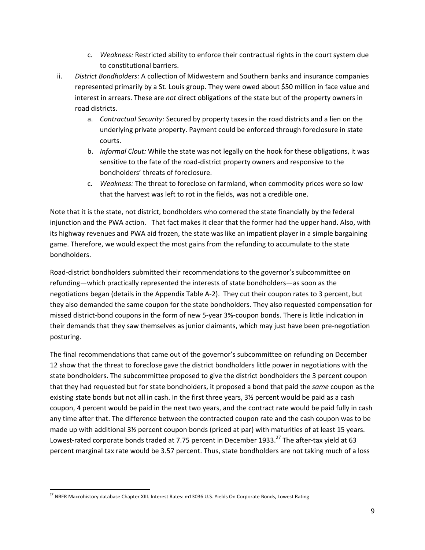- c. *Weakness:* Restricted ability to enforce their contractual rights in the court system due to constitutional barriers.
- ii. *District Bondholders:* A collection of Midwestern and Southern banks and insurance companies represented primarily by a St. Louis group. They were owed about \$50 million in face value and interest in arrears. These are *not* direct obligations of the state but of the property owners in road districts.
	- a. *Contractual Security:* Secured by property taxes in the road districts and a lien on the underlying private property. Payment could be enforced through foreclosure in state courts.
	- b. *Informal Clout:* While the state was not legally on the hook for these obligations, it was sensitive to the fate of the road‐district property owners and responsive to the bondholders' threats of foreclosure.
	- c. *Weakness:* The threat to foreclose on farmland, when commodity prices were so low that the harvest was left to rot in the fields, was not a credible one.

Note that it is the state, not district, bondholders who cornered the state financially by the federal injunction and the PWA action. That fact makes it clear that the former had the upper hand. Also, with its highway revenues and PWA aid frozen, the state was like an impatient player in a simple bargaining game. Therefore, we would expect the most gains from the refunding to accumulate to the state bondholders.

Road‐district bondholders submitted their recommendations to the governor's subcommittee on refunding—which practically represented the interests of state bondholders—as soon as the negotiations began (details in the Appendix Table A‐2). They cut their coupon rates to 3 percent, but they also demanded the same coupon for the state bondholders. They also requested compensation for missed district‐bond coupons in the form of new 5‐year 3%‐coupon bonds. There is little indication in their demands that they saw themselves as junior claimants, which may just have been pre‐negotiation posturing.

The final recommendations that came out of the governor's subcommittee on refunding on December 12 show that the threat to foreclose gave the district bondholders little power in negotiations with the state bondholders. The subcommittee proposed to give the district bondholders the 3 percent coupon that they had requested but for state bondholders, it proposed a bond that paid the *same* coupon as the existing state bonds but not all in cash. In the first three years, 3½ percent would be paid as a cash coupon, 4 percent would be paid in the next two years, and the contract rate would be paid fully in cash any time after that. The difference between the contracted coupon rate and the cash coupon was to be made up with additional 3<sup>1/2</sup> percent coupon bonds (priced at par) with maturities of at least 15 years. Lowest-rated corporate bonds traded at 7.75 percent in December 1933.<sup>27</sup> The after-tax yield at 63 percent marginal tax rate would be 3.57 percent. Thus, state bondholders are not taking much of a loss

 $^{27}$  NBER Macrohistory database Chapter XIII. Interest Rates: m13036 U.S. Yields On Corporate Bonds, Lowest Rating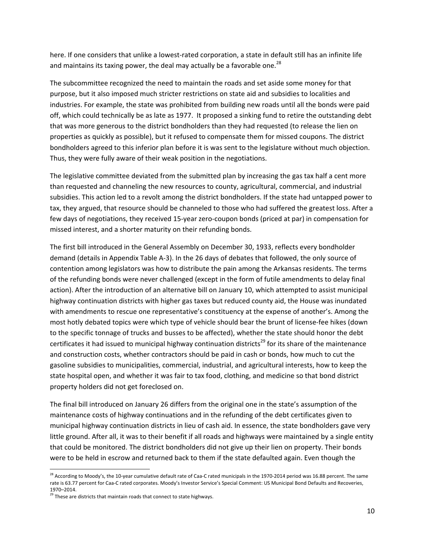here. If one considers that unlike a lowest-rated corporation, a state in default still has an infinite life and maintains its taxing power, the deal may actually be a favorable one.<sup>28</sup>

The subcommittee recognized the need to maintain the roads and set aside some money for that purpose, but it also imposed much stricter restrictions on state aid and subsidies to localities and industries. For example, the state was prohibited from building new roads until all the bonds were paid off, which could technically be as late as 1977. It proposed a sinking fund to retire the outstanding debt that was more generous to the district bondholders than they had requested (to release the lien on properties as quickly as possible), but it refused to compensate them for missed coupons. The district bondholders agreed to this inferior plan before it is was sent to the legislature without much objection. Thus, they were fully aware of their weak position in the negotiations.

The legislative committee deviated from the submitted plan by increasing the gas tax half a cent more than requested and channeling the new resources to county, agricultural, commercial, and industrial subsidies. This action led to a revolt among the district bondholders. If the state had untapped power to tax, they argued, that resource should be channeled to those who had suffered the greatest loss. After a few days of negotiations, they received 15‐year zero‐coupon bonds (priced at par) in compensation for missed interest, and a shorter maturity on their refunding bonds.

The first bill introduced in the General Assembly on December 30, 1933, reflects every bondholder demand (details in Appendix Table A‐3). In the 26 days of debates that followed, the only source of contention among legislators was how to distribute the pain among the Arkansas residents. The terms of the refunding bonds were never challenged (except in the form of futile amendments to delay final action). After the introduction of an alternative bill on January 10, which attempted to assist municipal highway continuation districts with higher gas taxes but reduced county aid, the House was inundated with amendments to rescue one representative's constituency at the expense of another's. Among the most hotly debated topics were which type of vehicle should bear the brunt of license‐fee hikes (down to the specific tonnage of trucks and busses to be affected), whether the state should honor the debt certificates it had issued to municipal highway continuation districts<sup>29</sup> for its share of the maintenance and construction costs, whether contractors should be paid in cash or bonds, how much to cut the gasoline subsidies to municipalities, commercial, industrial, and agricultural interests, how to keep the state hospital open, and whether it was fair to tax food, clothing, and medicine so that bond district property holders did not get foreclosed on.

The final bill introduced on January 26 differs from the original one in the state's assumption of the maintenance costs of highway continuations and in the refunding of the debt certificates given to municipal highway continuation districts in lieu of cash aid. In essence, the state bondholders gave very little ground. After all, it was to their benefit if all roads and highways were maintained by a single entity that could be monitored. The district bondholders did not give up their lien on property. Their bonds were to be held in escrow and returned back to them if the state defaulted again. Even though the

 $^{28}$  According to Moody's, the 10-year cumulative default rate of Caa-C rated municipals in the 1970-2014 period was 16.88 percent. The same rate is 63.77 percent for Caa‐C rated corporates. Moody's Investor Service's Special Comment: US Municipal Bond Defaults and Recoveries, 1970–2014.

 $29$  These are districts that maintain roads that connect to state highways.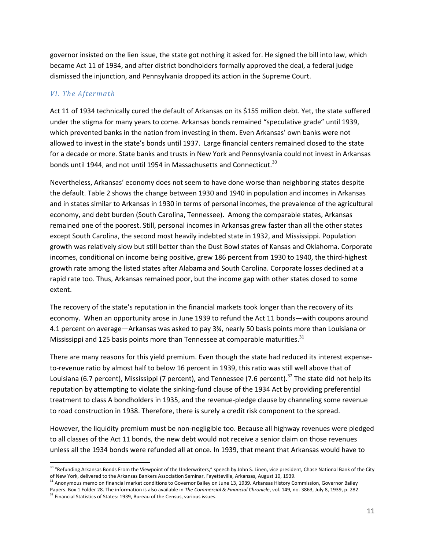governor insisted on the lien issue, the state got nothing it asked for. He signed the bill into law, which became Act 11 of 1934, and after district bondholders formally approved the deal, a federal judge dismissed the injunction, and Pennsylvania dropped its action in the Supreme Court.

# *VI. The Aftermath*

Act 11 of 1934 technically cured the default of Arkansas on its \$155 million debt. Yet, the state suffered under the stigma for many years to come. Arkansas bonds remained "speculative grade" until 1939, which prevented banks in the nation from investing in them. Even Arkansas' own banks were not allowed to invest in the state's bonds until 1937. Large financial centers remained closed to the state for a decade or more. State banks and trusts in New York and Pennsylvania could not invest in Arkansas bonds until 1944, and not until 1954 in Massachusetts and Connecticut.<sup>30</sup>

Nevertheless, Arkansas' economy does not seem to have done worse than neighboring states despite the default. Table 2 shows the change between 1930 and 1940 in population and incomes in Arkansas and in states similar to Arkansas in 1930 in terms of personal incomes, the prevalence of the agricultural economy, and debt burden (South Carolina, Tennessee). Among the comparable states, Arkansas remained one of the poorest. Still, personal incomes in Arkansas grew faster than all the other states except South Carolina, the second most heavily indebted state in 1932, and Mississippi. Population growth was relatively slow but still better than the Dust Bowl states of Kansas and Oklahoma. Corporate incomes, conditional on income being positive, grew 186 percent from 1930 to 1940, the third-highest growth rate among the listed states after Alabama and South Carolina. Corporate losses declined at a rapid rate too. Thus, Arkansas remained poor, but the income gap with other states closed to some extent.

The recovery of the state's reputation in the financial markets took longer than the recovery of its economy. When an opportunity arose in June 1939 to refund the Act 11 bonds—with coupons around 4.1 percent on average—Arkansas was asked to pay 3¾, nearly 50 basis points more than Louisiana or Mississippi and 125 basis points more than Tennessee at comparable maturities.<sup>31</sup>

There are many reasons for this yield premium. Even though the state had reduced its interest expense‐ to-revenue ratio by almost half to below 16 percent in 1939, this ratio was still well above that of Louisiana (6.7 percent), Mississippi (7 percent), and Tennessee (7.6 percent).<sup>32</sup> The state did not help its reputation by attempting to violate the sinking‐fund clause of the 1934 Act by providing preferential treatment to class A bondholders in 1935, and the revenue‐pledge clause by channeling some revenue to road construction in 1938. Therefore, there is surely a credit risk component to the spread.

However, the liquidity premium must be non-negligible too. Because all highway revenues were pledged to all classes of the Act 11 bonds, the new debt would not receive a senior claim on those revenues unless all the 1934 bonds were refunded all at once. In 1939, that meant that Arkansas would have to

<sup>&</sup>lt;sup>30</sup> "Refunding Arkansas Bonds From the Viewpoint of the Underwriters," speech by John S. Linen, vice president, Chase National Bank of the City of New York, delivered to the Arkansas Bankers Association Seminar, Fayetteville, Arkansas, August 10, 1939.

<sup>&</sup>lt;sup>31</sup> Anonymous memo on financial market conditions to Governor Bailey on June 13, 1939. Arkansas History Commission, Governor Bailey Papers. Box 1 Folder 28. The information is also available in *The Commercial & Financial Chronicle*, vol. 149, no. 3863, July 8, 1939, p. 282.

 $32$  Financial Statistics of States: 1939, Bureau of the Census, various issues.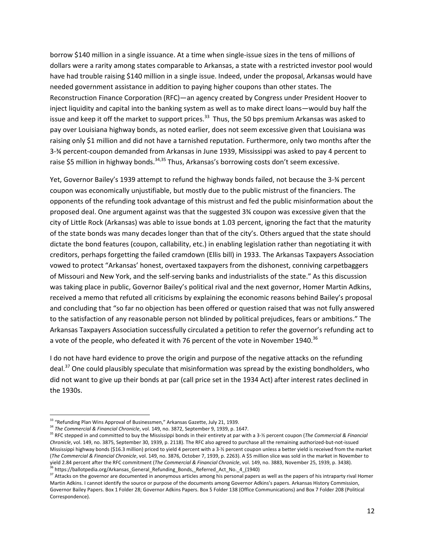borrow \$140 million in a single issuance. At a time when single-issue sizes in the tens of millions of dollars were a rarity among states comparable to Arkansas, a state with a restricted investor pool would have had trouble raising \$140 million in a single issue. Indeed, under the proposal, Arkansas would have needed government assistance in addition to paying higher coupons than other states. The Reconstruction Finance Corporation (RFC)—an agency created by Congress under President Hoover to inject liquidity and capital into the banking system as well as to make direct loans—would buy half the issue and keep it off the market to support prices.<sup>33</sup> Thus, the 50 bps premium Arkansas was asked to pay over Louisiana highway bonds, as noted earlier, does not seem excessive given that Louisiana was raising only \$1 million and did not have a tarnished reputation. Furthermore, only two months after the 3‐¾ percent‐coupon demanded from Arkansas in June 1939, Mississippi was asked to pay 4 percent to raise \$5 million in highway bonds.<sup>34,35</sup> Thus, Arkansas's borrowing costs don't seem excessive.

Yet, Governor Bailey's 1939 attempt to refund the highway bonds failed, not because the 3‐¾ percent coupon was economically unjustifiable, but mostly due to the public mistrust of the financiers. The opponents of the refunding took advantage of this mistrust and fed the public misinformation about the proposed deal. One argument against was that the suggested 3¾ coupon was excessive given that the city of Little Rock (Arkansas) was able to issue bonds at 1.03 percent, ignoring the fact that the maturity of the state bonds was many decades longer than that of the city's. Others argued that the state should dictate the bond features (coupon, callability, etc.) in enabling legislation rather than negotiating it with creditors, perhaps forgetting the failed cramdown (Ellis bill) in 1933. The Arkansas Taxpayers Association vowed to protect "Arkansas' honest, overtaxed taxpayers from the dishonest, conniving carpetbaggers of Missouri and New York, and the self‐serving banks and industrialists of the state." As this discussion was taking place in public, Governor Bailey's political rival and the next governor, Homer Martin Adkins, received a memo that refuted all criticisms by explaining the economic reasons behind Bailey's proposal and concluding that "so far no objection has been offered or question raised that was not fully answered to the satisfaction of any reasonable person not blinded by political prejudices, fears or ambitions." The Arkansas Taxpayers Association successfully circulated a petition to refer the governor's refunding act to a vote of the people, who defeated it with 76 percent of the vote in November 1940.<sup>36</sup>

I do not have hard evidence to prove the origin and purpose of the negative attacks on the refunding deal.<sup>37</sup> One could plausibly speculate that misinformation was spread by the existing bondholders, who did not want to give up their bonds at par (call price set in the 1934 Act) after interest rates declined in the 1930s.

 $33$  "Refunding Plan Wins Approval of Businessmen," Arkansas Gazette, July 21, 1939.

<sup>&</sup>lt;sup>34</sup> The Commercial & Financial Chronicle, vol. 149, no. 3872, September 9, 1939, p. 1647.<br><sup>35</sup> RFC stepped in and committed to buy the Mississippi bonds in their entirety at par with a 3-½ percent coupon (*The Commercial Chronicle*, vol. 149, no. 3875, September 30, 1939, p. 2118). The RFC also agreed to purchase all the remaining authorized‐but‐not‐issued Mississippi highway bonds (\$16.3 million) priced to yield 4 percent with a 3‐½ percent coupon unless a better yield is received from the market (*The Commercial & Financial Chronicle*, vol. 149, no. 3876, October 7, 1939, p. 2263). A \$5 million slice was sold in the market in November to yield 2.84 percent after the RFC commitment (*The Commercial & Financial Chronicle*, vol. 149, no. 3883, November 25, 1939, p. 3438).  $^6$  https://ballotpedia.org/Arkansas General Refunding Bonds, Referred Act No. 4 (1940)

<sup>&</sup>lt;sup>37</sup> Attacks on the governor are documented in anonymous articles among his personal papers as well as the papers of his intraparty rival Homer Martin Adkins. I cannot identify the source or purpose of the documents among Governor Adkins's papers. Arkansas History Commission, Governor Bailey Papers. Box 1 Folder 28; Governor Adkins Papers. Box 5 Folder 138 (Office Communications) and Box 7 Folder 208 (Political Correspondence).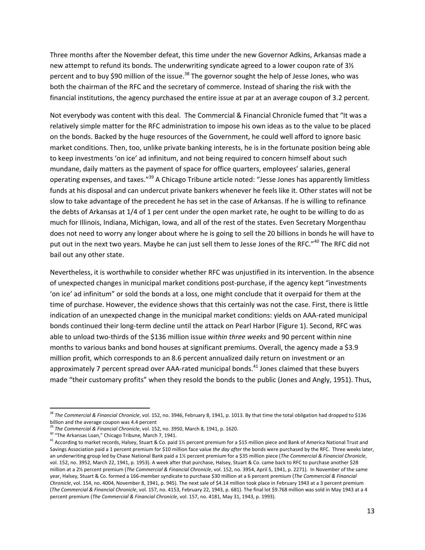Three months after the November defeat, this time under the new Governor Adkins, Arkansas made a new attempt to refund its bonds. The underwriting syndicate agreed to a lower coupon rate of 3½ percent and to buy \$90 million of the issue.<sup>38</sup> The governor sought the help of Jesse Jones, who was both the chairman of the RFC and the secretary of commerce. Instead of sharing the risk with the financial institutions, the agency purchased the entire issue at par at an average coupon of 3.2 percent.

Not everybody was content with this deal. The Commercial & Financial Chronicle fumed that "It was a relatively simple matter for the RFC administration to impose his own ideas as to the value to be placed on the bonds. Backed by the huge resources of the Government, he could well afford to ignore basic market conditions. Then, too, unlike private banking interests, he is in the fortunate position being able to keep investments 'on ice' ad infinitum, and not being required to concern himself about such mundane, daily matters as the payment of space for office quarters, employees' salaries, general operating expenses, and taxes."<sup>39</sup> A Chicago Tribune article noted: "Jesse Jones has apparently limitless funds at his disposal and can undercut private bankers whenever he feels like it. Other states will not be slow to take advantage of the precedent he has set in the case of Arkansas. If he is willing to refinance the debts of Arkansas at 1/4 of 1 per cent under the open market rate, he ought to be willing to do as much for Illinois, Indiana, Michigan, Iowa, and all of the rest of the states. Even Secretary Morgenthau does not need to worry any longer about where he is going to sell the 20 billions in bonds he will have to put out in the next two years. Maybe he can just sell them to Jesse Jones of the RFC."<sup>40</sup> The RFC did not bail out any other state.

Nevertheless, it is worthwhile to consider whether RFC was unjustified in its intervention. In the absence of unexpected changes in municipal market conditions post‐purchase, if the agency kept "investments 'on ice' ad infinitum" or sold the bonds at a loss, one might conclude that it overpaid for them at the time of purchase. However, the evidence shows that this certainly was not the case. First, there is little indication of an unexpected change in the municipal market conditions: yields on AAA‐rated municipal bonds continued their long‐term decline until the attack on Pearl Harbor (Figure 1). Second, RFC was able to unload two‐thirds of the \$136 million issue *within three weeks* and 90 percent within nine months to various banks and bond houses at significant premiums. Overall, the agency made a \$3.9 million profit, which corresponds to an 8.6 percent annualized daily return on investment or an approximately 7 percent spread over AAA-rated municipal bonds.<sup>41</sup> Jones claimed that these buyers made "their customary profits" when they resold the bonds to the public (Jones and Angly, 1951). Thus,

<sup>38</sup> *The Commercial & Financial Chronicle*, vol. 152, no. 3946, February 8, 1941, p. 1013. By that time the total obligation had dropped to \$136 billion and the average coupon was 4.4 percent

<sup>&</sup>lt;sup>39</sup> *The Commercial & Financial Chronicle*, vol. 152, no. 3950, March 8, 1941, p. 1620.<br><sup>40</sup> "The Arkansas Loan," Chicago Tribune, March 7, 1941.

<sup>&</sup>lt;sup>41</sup> According to market records, Halsey, Stuart & Co. paid 1½ percent premium for a \$15 million piece and Bank of America National Trust and Savings Association paid a 1 percent premium for \$10 million face value *the day after* the bonds were purchased by the RFC. Three weeks later, an underwriting group led by Chase National Bank paid a 1½ percent premium for a \$35 million piece (*The Commercial & Financial Chronicle*, vol. 152, no. 3952, March 22, 1941, p. 1953). A week after that purchase, Halsey, Stuart & Co. came back to RFC to purchase another \$28 million at a 2½ percent premium (*The Commercial & Financial Chronicle*, vol. 152, no. 3954, April 5, 1941, p. 2271). In November of the same year, Halsey, Stuart & Co. formed a 166‐member syndicate to purchase \$30 million at a 6 percent premium (*The Commercial & Financial Chronicle*, vol. 154, no. 4004, November 8, 1941, p. 945). The next sale of \$4.14 million took place in February 1943 at a 3 percent premium (*The Commercial & Financial Chronicle*, vol. 157, no. 4153, February 22, 1943, p. 681). The final lot \$9.768 million was sold in May 1943 at a 4 percent premium (*The Commercial & Financial Chronicle*, vol. 157, no. 4181, May 31, 1943, p. 1993).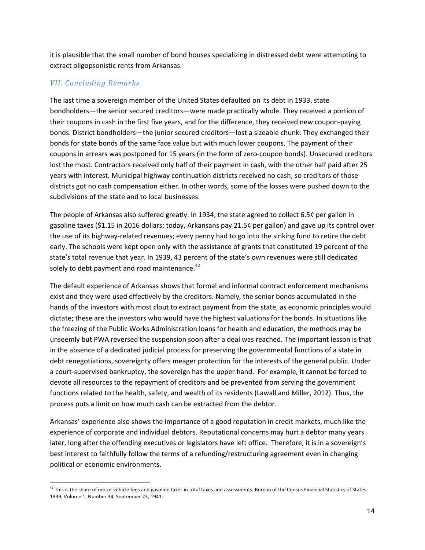it is plausible that the small number of bond houses specializing in distressed debt were attempting to extract oligopsonistic rents from Arkansas.

## *VII. Concluding Remarks*

The last time a sovereign member of the United States defaulted on its debt in 1933, state bondholders—the senior secured creditors—were made practically whole. They received a portion of their coupons in cash in the first five years, and for the difference, they received new coupon‐paying bonds. District bondholders—the junior secured creditors—lost a sizeable chunk. They exchanged their bonds for state bonds of the same face value but with much lower coupons. The payment of their coupons in arrears was postponed for 15 years (in the form of zero‐coupon bonds). Unsecured creditors lost the most. Contractors received only half of their payment in cash, with the other half paid after 25 years with interest. Municipal highway continuation districts received no cash; so creditors of those districts got no cash compensation either. In other words, some of the losses were pushed down to the subdivisions of the state and to local businesses.

The people of Arkansas also suffered greatly. In 1934, the state agreed to collect 6.5¢ per gallon in gasoline taxes (\$1.15 in 2016 dollars; today, Arkansans pay 21.5¢ per gallon) and gave up its control over the use of its highway-related revenues; every penny had to go into the sinking fund to retire the debt early. The schools were kept open only with the assistance of grants that constituted 19 percent of the state's total revenue that year. In 1939, 43 percent of the state's own revenues were still dedicated solely to debt payment and road maintenance. $42$ 

The default experience of Arkansas shows that formal and informal contract enforcement mechanisms exist and they were used effectively by the creditors. Namely, the senior bonds accumulated in the hands of the investors with most clout to extract payment from the state, as economic principles would dictate; these are the investors who would have the highest valuations for the bonds. In situations like the freezing of the Public Works Administration loans for health and education, the methods may be unseemly but PWA reversed the suspension soon after a deal was reached. The important lesson is that in the absence of a dedicated judicial process for preserving the governmental functions of a state in debt renegotiations, sovereignty offers meager protection for the interests of the general public. Under a court-supervised bankruptcy, the sovereign has the upper hand. For example, it cannot be forced to devote all resources to the repayment of creditors and be prevented from serving the government functions related to the health, safety, and wealth of its residents (Lawall and Miller, 2012). Thus, the process puts a limit on how much cash can be extracted from the debtor.

Arkansas' experience also shows the importance of a good reputation in credit markets, much like the experience of corporate and individual debtors. Reputational concerns may hurt a debtor many years later, long after the offending executives or legislators have left office. Therefore, it is in a sovereign's best interest to faithfully follow the terms of a refunding/restructuring agreement even in changing political or economic environments.

 $^{42}$  This is the share of motor vehicle fees and gasoline taxes in total taxes and assessments. Bureau of the Census Financial Statistics of States: 1939, Volume 1, Number 34, September 23, 1941.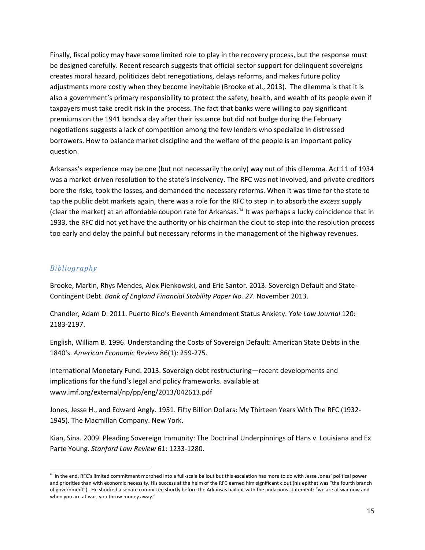Finally, fiscal policy may have some limited role to play in the recovery process, but the response must be designed carefully. Recent research suggests that official sector support for delinquent sovereigns creates moral hazard, politicizes debt renegotiations, delays reforms, and makes future policy adjustments more costly when they become inevitable (Brooke et al., 2013). The dilemma is that it is also a government's primary responsibility to protect the safety, health, and wealth of its people even if taxpayers must take credit risk in the process. The fact that banks were willing to pay significant premiums on the 1941 bonds a day after their issuance but did not budge during the February negotiations suggests a lack of competition among the few lenders who specialize in distressed borrowers. How to balance market discipline and the welfare of the people is an important policy question.

Arkansas's experience may be one (but not necessarily the only) way out of this dilemma. Act 11 of 1934 was a market-driven resolution to the state's insolvency. The RFC was not involved, and private creditors bore the risks, took the losses, and demanded the necessary reforms. When it was time for the state to tap the public debt markets again, there was a role for the RFC to step in to absorb the *excess* supply (clear the market) at an affordable coupon rate for Arkansas.<sup>43</sup> It was perhaps a lucky coincidence that in 1933, the RFC did not yet have the authority or his chairman the clout to step into the resolution process too early and delay the painful but necessary reforms in the management of the highway revenues.

## *Bibliography*

Brooke, Martin, Rhys Mendes, Alex Pienkowski, and Eric Santor. 2013. Sovereign Default and State‐ Contingent Debt. *Bank of England Financial Stability Paper No. 27*. November 2013.

Chandler, Adam D. 2011. Puerto Rico's Eleventh Amendment Status Anxiety. *Yale Law Journal* 120: 2183‐2197.

English, William B. 1996. Understanding the Costs of Sovereign Default: American State Debts in the 1840's. *American Economic Review* 86(1): 259‐275.

International Monetary Fund. 2013. Sovereign debt restructuring—recent developments and implications for the fund's legal and policy frameworks. available at www.imf.org/external/np/pp/eng/2013/042613.pdf

Jones, Jesse H., and Edward Angly. 1951. Fifty Billion Dollars: My Thirteen Years With The RFC (1932‐ 1945). The Macmillan Company. New York.

Kian, Sina. 2009. Pleading Sovereign Immunity: The Doctrinal Underpinnings of Hans v. Louisiana and Ex Parte Young. *Stanford Law Review* 61: 1233‐1280.

 $43$  In the end, RFC's limited commitment morphed into a full-scale bailout but this escalation has more to do with Jesse Jones' political power and priorities than with economic necessity. His success at the helm of the RFC earned him significant clout (his epithet was "the fourth branch of government"). He shocked a senate committee shortly before the Arkansas bailout with the audacious statement: "we are at war now and when you are at war, you throw money away."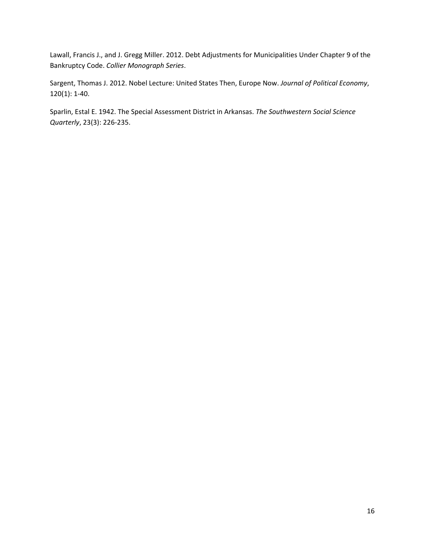Lawall, Francis J., and J. Gregg Miller. 2012. Debt Adjustments for Municipalities Under Chapter 9 of the Bankruptcy Code. *Collier Monograph Series*.

Sargent, Thomas J. 2012. Nobel Lecture: United States Then, Europe Now. *Journal of Political Economy*, 120(1): 1‐40.

Sparlin, Estal E. 1942. The Special Assessment District in Arkansas. *The Southwestern Social Science Quarterly*, 23(3): 226‐235.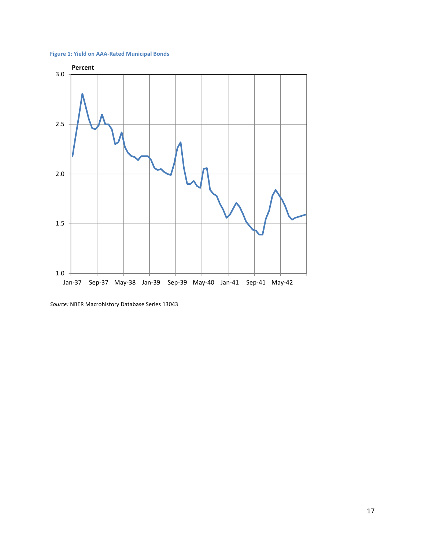



*Source:* NBER Macrohistory Database Series 13043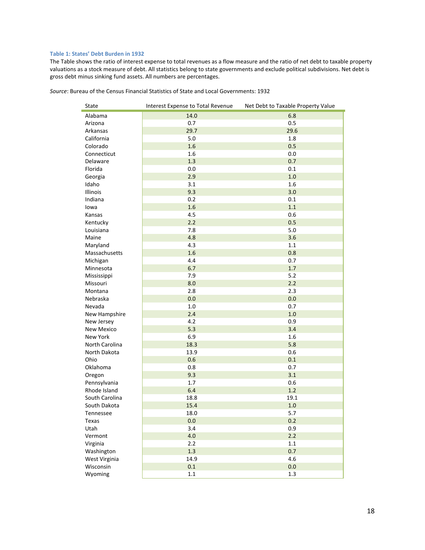#### **Table 1: States' Debt Burden in 1932**

The Table shows the ratio of interest expense to total revenues as a flow measure and the ratio of net debt to taxable property valuations as a stock measure of debt. All statistics belong to state governments and exclude political subdivisions. Net debt is gross debt minus sinking fund assets. All numbers are percentages.

*Source*: Bureau of the Census Financial Statistics of State and Local Governments: 1932

| State             | Interest Expense to Total Revenue | Net Debt to Taxable Property Value |
|-------------------|-----------------------------------|------------------------------------|
| Alabama           | 14.0                              | 6.8                                |
| Arizona           | 0.7                               | 0.5                                |
| Arkansas          | 29.7                              | 29.6                               |
| California        | 5.0                               | 1.8                                |
| Colorado          | 1.6                               | 0.5                                |
| Connecticut       | 1.6                               | 0.0                                |
| Delaware          | 1.3                               | 0.7                                |
| Florida           | 0.0                               | 0.1                                |
| Georgia           | 2.9                               | 1.0                                |
| Idaho             | 3.1                               | 1.6                                |
| Illinois          | 9.3                               | 3.0                                |
| Indiana           | 0.2                               | 0.1                                |
| lowa              | 1.6                               | 1.1                                |
| Kansas            | 4.5                               | 0.6                                |
| Kentucky          | 2.2                               | 0.5                                |
| Louisiana         | 7.8                               | 5.0                                |
| Maine             | 4.8                               | 3.6                                |
| Maryland          | 4.3                               | 1.1                                |
| Massachusetts     | 1.6                               | 0.8                                |
| Michigan          | 4.4                               | 0.7                                |
| Minnesota         | 6.7                               | 1.7                                |
| Mississippi       | 7.9                               | 5.2                                |
| Missouri          | 8.0                               | 2.2                                |
| Montana           | 2.8                               | 2.3                                |
| Nebraska          | 0.0                               | 0.0                                |
| Nevada            | 1.0                               | 0.7                                |
| New Hampshire     | 2.4                               | 1.0                                |
| New Jersey        | 4.2                               | 0.9                                |
| <b>New Mexico</b> | 5.3                               | 3.4                                |
| New York          | 6.9                               | 1.6                                |
| North Carolina    | 18.3                              | 5.8                                |
| North Dakota      | 13.9                              | 0.6                                |
| Ohio              | 0.6                               | 0.1                                |
| Oklahoma          | 0.8                               | 0.7                                |
| Oregon            | 9.3                               | 3.1                                |
| Pennsylvania      | 1.7                               | 0.6                                |
| Rhode Island      | 6.4                               | 1.2                                |
| South Carolina    | 18.8                              | 19.1                               |
| South Dakota      | 15.4                              | $1.0$                              |
| Tennessee         | 18.0                              | 5.7                                |
| Texas             | 0.0                               | 0.2                                |
| Utah              | 3.4                               | 0.9                                |
| Vermont           | 4.0                               | 2.2                                |
| Virginia          | 2.2                               | 1.1                                |
| Washington        | 1.3                               | 0.7                                |
| West Virginia     | 14.9                              | 4.6                                |
| Wisconsin         | 0.1                               | 0.0                                |
| Wyoming           | 1.1                               | 1.3                                |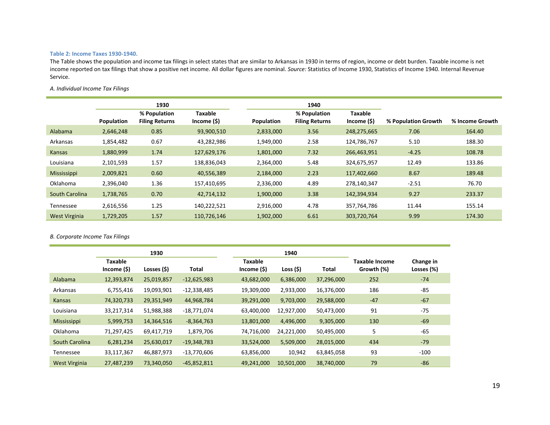#### **Table 2: Income Taxes 1930‐1940.**

The Table shows the population and income tax filings in select states that are similar to Arkansas in 1930 in terms of region, income or debt burden. Taxable income is net income reported on tax filings that show <sup>a</sup> positive net income. All dollar figures are nominal. *Source:* Statistics of Income 1930, Statistics of Income 1940. Internal Revenue Service.

#### *A. Individual Income Tax Filings*

|                      | 1930       |                                       |                                 | 1940       |                                       |                                  |                     |                 |
|----------------------|------------|---------------------------------------|---------------------------------|------------|---------------------------------------|----------------------------------|---------------------|-----------------|
|                      | Population | % Population<br><b>Filing Returns</b> | <b>Taxable</b><br>Income $(\$)$ | Population | % Population<br><b>Filing Returns</b> | <b>Taxable</b><br>Income $($ \$) | % Population Growth | % Income Growth |
| Alabama              | 2,646,248  | 0.85                                  | 93,900,510                      | 2,833,000  | 3.56                                  | 248,275,665                      | 7.06                | 164.40          |
| Arkansas             | 1,854,482  | 0.67                                  | 43,282,986                      | 1,949,000  | 2.58                                  | 124,786,767                      | 5.10                | 188.30          |
| Kansas               | 1,880,999  | 1.74                                  | 127,629,176                     | 1,801,000  | 7.32                                  | 266,463,951                      | $-4.25$             | 108.78          |
| Louisiana            | 2,101,593  | 1.57                                  | 138,836,043                     | 2,364,000  | 5.48                                  | 324,675,957                      | 12.49               | 133.86          |
| <b>Mississippi</b>   | 2,009,821  | 0.60                                  | 40,556,389                      | 2,184,000  | 2.23                                  | 117,402,660                      | 8.67                | 189.48          |
| <b>Oklahoma</b>      | 2,396,040  | 1.36                                  | 157,410,695                     | 2,336,000  | 4.89                                  | 278,140,347                      | $-2.51$             | 76.70           |
| South Carolina       | 1,738,765  | 0.70                                  | 42,714,132                      | 1,900,000  | 3.38                                  | 142,394,934                      | 9.27                | 233.37          |
| Tennessee            | 2,616,556  | 1.25                                  | 140,222,521                     | 2,916,000  | 4.78                                  | 357,764,786                      | 11.44               | 155.14          |
| <b>West Virginia</b> | 1,729,205  | 1.57                                  | 110,726,146                     | 1,902,000  | 6.61                                  | 303,720,764                      | 9.99                | 174.30          |

#### *B. Corporate Income Tax Filings*

|                      | 1930                            |             | 1940          |                                 |            |            |                                     |                         |
|----------------------|---------------------------------|-------------|---------------|---------------------------------|------------|------------|-------------------------------------|-------------------------|
|                      | <b>Taxable</b><br>Income $(\$)$ | Losses (\$) | Total         | <b>Taxable</b><br>Income $(\$)$ | Loss (\$)  | Total      | <b>Taxable Income</b><br>Growth (%) | Change in<br>Losses (%) |
| Alabama              | 12,393,874                      | 25,019,857  | $-12,625,983$ | 43,682,000                      | 6,386,000  | 37,296,000 | 252                                 | $-74$                   |
| Arkansas             | 6,755,416                       | 19,093,901  | $-12,338,485$ | 19,309,000                      | 2,933,000  | 16,376,000 | 186                                 | $-85$                   |
| Kansas               | 74,320,733                      | 29,351,949  | 44,968,784    | 39,291,000                      | 9,703,000  | 29,588,000 | $-47$                               | $-67$                   |
| Louisiana            | 33,217,314                      | 51,988,388  | $-18,771,074$ | 63,400,000                      | 12,927,000 | 50,473,000 | 91                                  | $-75$                   |
| <b>Mississippi</b>   | 5,999,753                       | 14,364,516  | $-8,364,763$  | 13,801,000                      | 4,496,000  | 9,305,000  | 130                                 | $-69$                   |
| Oklahoma             | 71,297,425                      | 69,417,719  | 1,879,706     | 74,716,000                      | 24,221,000 | 50,495,000 | 5                                   | -65                     |
| South Carolina       | 6,281,234                       | 25,630,017  | $-19,348,783$ | 33,524,000                      | 5,509,000  | 28,015,000 | 434                                 | $-79$                   |
| Tennessee            | 33,117,367                      | 46,887,973  | $-13,770,606$ | 63,856,000                      | 10,942     | 63,845,058 | 93                                  | $-100$                  |
| <b>West Virginia</b> | 27,487,239                      | 73,340,050  | $-45,852,811$ | 49,241,000                      | 10,501,000 | 38,740,000 | 79                                  | $-86$                   |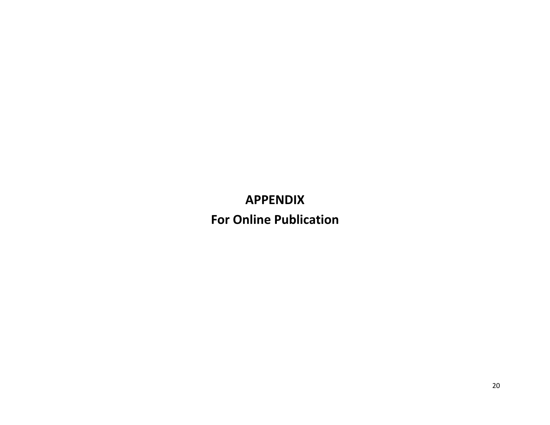# **APPENDIX For Online Publication**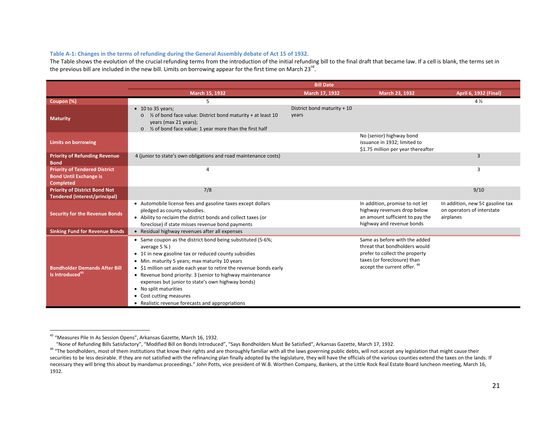#### Table A-1: Changes in the terms of refunding during the General Assembly debate of Act 15 of 1932.

The Table shows the evolution of the crucial refunding terms from the introduction of the initial refunding bill to the final draft that became law. If <sup>a</sup> cell is blank, the terms set in the previous bill are included in the new bill. Limits on borrowing appear for the first time on March 23<sup>rd</sup>.

|                                                                                           | March 15, 1932                                                                                                                                                                                                                                                                                                                                                                                                                                                                                     | March 17, 1932                       | March 23, 1932                                                                                                                                                  | April 6, 1932 (Final)                                                       |
|-------------------------------------------------------------------------------------------|----------------------------------------------------------------------------------------------------------------------------------------------------------------------------------------------------------------------------------------------------------------------------------------------------------------------------------------------------------------------------------------------------------------------------------------------------------------------------------------------------|--------------------------------------|-----------------------------------------------------------------------------------------------------------------------------------------------------------------|-----------------------------------------------------------------------------|
| Coupon (%)                                                                                | 5                                                                                                                                                                                                                                                                                                                                                                                                                                                                                                  |                                      |                                                                                                                                                                 | $4\frac{1}{2}$                                                              |
| <b>Maturity</b>                                                                           | $\bullet$ 10 to 35 years;<br>10 12 % of bond face value: District bond maturity + at least 10<br>$\circ$<br>years (max 21 years);<br>1/2 of bond face value: 1 year more than the first half<br>$\circ$                                                                                                                                                                                                                                                                                            | District bond maturity + 10<br>years |                                                                                                                                                                 |                                                                             |
| <b>Limits on borrowing</b>                                                                |                                                                                                                                                                                                                                                                                                                                                                                                                                                                                                    |                                      | No (senior) highway bond<br>issuance in 1932; limited to<br>\$1.75 million per year thereafter                                                                  |                                                                             |
| <b>Priority of Refunding Revenue</b><br><b>Bond</b>                                       | 4 (junior to state's own obligations and road maintenance costs)                                                                                                                                                                                                                                                                                                                                                                                                                                   |                                      |                                                                                                                                                                 | 3                                                                           |
| <b>Priority of Tendered District</b><br><b>Bond Until Exchange is</b><br><b>Completed</b> | 4                                                                                                                                                                                                                                                                                                                                                                                                                                                                                                  |                                      |                                                                                                                                                                 | 3                                                                           |
| <b>Priority of District Bond Not</b><br><b>Tendered (interest/principal)</b>              | 7/8                                                                                                                                                                                                                                                                                                                                                                                                                                                                                                |                                      |                                                                                                                                                                 | 9/10                                                                        |
| <b>Security for the Revenue Bonds</b>                                                     | • Automobile license fees and gasoline taxes except dollars<br>pledged as county subsidies.<br>• Ability to reclaim the district bonds and collect taxes (or<br>foreclose) if state misses revenue bond payments                                                                                                                                                                                                                                                                                   |                                      | In addition, promise to not let<br>highway revenues drop below<br>an amount sufficient to pay the<br>highway and revenue bonds                                  | In addition, new 5¢ gasoline tax<br>on operators of interstate<br>airplanes |
| <b>Sinking Fund for Revenue Bonds</b>                                                     | • Residual highway revenues after all expenses                                                                                                                                                                                                                                                                                                                                                                                                                                                     |                                      |                                                                                                                                                                 |                                                                             |
| <b>Bondholder Demands After Bill</b><br>is Introduced <sup>45</sup>                       | • Same coupon as the district bond being substituted (5-6%;<br>average $5\frac{3}{4}$ )<br>• 1¢ in new gasoline tax or reduced county subsidies<br>• Min. maturity 5 years; max maturity 10 years<br>• \$1 million set aside each year to retire the revenue bonds early<br>• Revenue bond priority: 3 (senior to highway maintenance<br>expenses but junior to state's own highway bonds)<br>• No split maturities<br>• Cost cutting measures<br>• Realistic revenue forecasts and appropriations |                                      | Same as before with the added<br>threat that bondholders would<br>prefer to collect the property<br>taxes (or foreclosure) than<br>accept the current offer. 46 |                                                                             |

<sup>&</sup>lt;sup>45</sup> "Measures Pile In As Session Opens", Arkansas Gazette, March 16, 1932.

<sup>&</sup>quot;None of Refunding Bills Satisfactory", "Modified Bill on Bonds Introduced", "Says Bondholders Must Be Satisfied", Arkansas Gazette, March 17, 1932.

<sup>&</sup>lt;sup>46</sup> "The bondholders, most of them institutions that know their rights and are thoroughly familiar with all the laws governing public debts, will not accept any legislation that might cause their securities to be less desirable. If they are not satisfied with the refinancing plan finally adopted by the legislature, they will have the officials of the various counties extend the taxes on the lands. If necessary they will bring this about by mandamus proceedings." John Potts, vice president of W.B. Worthen Company, Bankers, at the Little Rock Real Estate Board luncheon meeting, March 16, 1932.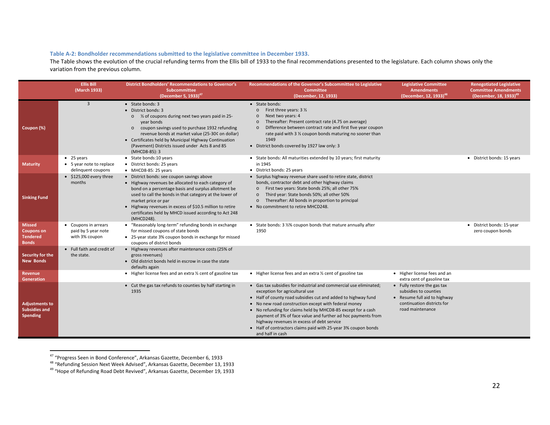#### **Table A‐2: Bondholder recommendations submitted to the legislative committee in December 1933.**

The Table shows the evolution of the crucial refunding terms from the Ellis bill of 1933 to the final recommendations presented to the legislature. Each column shows only the variation from the previous column.

|                                                                       | <b>Ellis Bill</b><br>(March 1933)                             | <b>District Bondholders' Recommendations to Governor's</b><br>Subcommittee<br>(December 5, 1933) $4$                                                                                                                                                                                                                                                                          | Recommendations of the Governor's Subcommittee to Legislative<br><b>Committee</b><br>(December, 12, 1933)                                                                                                                                                                                                                                                                                                                                                                                        | <b>Legislative Committee</b><br><b>Amendments</b><br>(December, 12, 1933) <sup>48</sup>                                                | <b>Renegotiated Legislative</b><br><b>Committee Amendments</b><br>(December, 18, 1933) <sup>49</sup> |
|-----------------------------------------------------------------------|---------------------------------------------------------------|-------------------------------------------------------------------------------------------------------------------------------------------------------------------------------------------------------------------------------------------------------------------------------------------------------------------------------------------------------------------------------|--------------------------------------------------------------------------------------------------------------------------------------------------------------------------------------------------------------------------------------------------------------------------------------------------------------------------------------------------------------------------------------------------------------------------------------------------------------------------------------------------|----------------------------------------------------------------------------------------------------------------------------------------|------------------------------------------------------------------------------------------------------|
| Coupon (%)                                                            | $\overline{3}$                                                | • State bonds: 3<br>• District bonds: 3<br>o 1/2 of coupons during next two years paid in 25-<br>year bonds<br>coupon savings used to purchase 1932 refunding<br>$\circ$<br>revenue bonds at market value (25-30¢ on dollar)<br>• Certificates held by Municipal Highway Continuation<br>(Pavement) Districts issued under Acts 8 and 85<br>(MHCD8-85): 3                     | • State bonds:<br>First three years: 3 1/2<br>$\circ$<br>Next two years: 4<br>$\circ$<br>Thereafter: Present contract rate (4.75 on average)<br>Difference between contract rate and first five year coupon<br>$\circ$<br>rate paid with 3 % coupon bonds maturing no sooner than<br>1949<br>• District bonds covered by 1927 law only: 3                                                                                                                                                        |                                                                                                                                        |                                                                                                      |
| <b>Maturity</b>                                                       | • 25 years<br>• 5 year note to replace<br>delinquent coupons  | • State bonds:10 years<br>• District bonds: 25 years<br>• MHCD8-85: 25 years                                                                                                                                                                                                                                                                                                  | • State bonds: All maturities extended by 10 years; first maturity<br>in 1945<br>• District bonds: 25 years                                                                                                                                                                                                                                                                                                                                                                                      |                                                                                                                                        | • District bonds: 15 years                                                                           |
| <b>Sinking Fund</b>                                                   | $\bullet$ \$125,000 every three<br>months                     | • District bonds: see coupon savings above<br>• Highway revenues be allocated to each category of<br>bond on a percentage basis and surplus allotment be<br>used to call the bonds in that category at the lower of<br>market price or par<br>• Highway revenues in excess of \$10.5 million to retire<br>certificates held by MHCD issued according to Act 248<br>(MHCD248). | • Surplus highway revenue share used to retire state, district<br>bonds, contractor debt and other highway claims<br>First two years: State bonds 25%; all other 75%<br>$\circ$<br>Third year: State bonds 50%; all other 50%<br>$\circ$<br>Thereafter: All bonds in proportion to principal<br>$\circ$<br>• No commitment to retire MHCD248.                                                                                                                                                    |                                                                                                                                        |                                                                                                      |
| <b>Missed</b><br><b>Coupons on</b><br><b>Tendered</b><br><b>Bonds</b> | • Coupons in arrears<br>paid by 5 year note<br>with 3% coupon | • "Reasonably long-term" refunding bonds in exchange<br>for missed coupons of state bonds<br>• 25-year state 3% coupon bonds in exchange for missed<br>coupons of district bonds                                                                                                                                                                                              | • State bonds: 3 1/2% coupon bonds that mature annually after<br>1950                                                                                                                                                                                                                                                                                                                                                                                                                            |                                                                                                                                        | • District bonds: 15-year<br>zero coupon bonds                                                       |
| Security for the<br><b>New Bonds</b>                                  | • Full faith and credit of<br>the state.                      | • Highway revenues after maintenance costs (25% of<br>gross revenues)<br>• Old district bonds held in escrow in case the state<br>defaults again                                                                                                                                                                                                                              |                                                                                                                                                                                                                                                                                                                                                                                                                                                                                                  |                                                                                                                                        |                                                                                                      |
| Revenue<br><b>Generation</b>                                          |                                                               | • Higher license fees and an extra 1/2 cent of gasoline tax                                                                                                                                                                                                                                                                                                                   | • Higher license fees and an extra 1/2 cent of gasoline tax                                                                                                                                                                                                                                                                                                                                                                                                                                      | • Higher license fees and an<br>extra cent of gasoline tax                                                                             |                                                                                                      |
| Adjustments to<br><b>Subsidies and</b><br>Spending                    |                                                               | • Cut the gas tax refunds to counties by half starting in<br>1935                                                                                                                                                                                                                                                                                                             | • Gas tax subsidies for industrial and commercial use eliminated;<br>exception for agricultural use<br>• Half of county road subsidies cut and added to highway fund<br>• No new road construction except with federal money<br>• No refunding for claims held by MHCD8-85 except for a cash<br>payment of 3% of face value and further ad hoc payments from<br>highway revenues in excess of debt service<br>• Half of contractors claims paid with 25-year 3% coupon bonds<br>and half in cash | • Fully restore the gas tax<br>subsidies to counties<br>• Resume full aid to highway<br>continuation districts for<br>road maintenance |                                                                                                      |

<sup>&</sup>lt;sup>47</sup> "Progress Seen in Bond Conference", Arkansas Gazette, December 6, 1933<br><sup>48</sup> "Refunding Session Next Week Advised", Arkansas Gazette, December 13, 1933<br><sup>49</sup> "Hope of Refunding Road Debt Revived", Arkansas Gazette, Dece